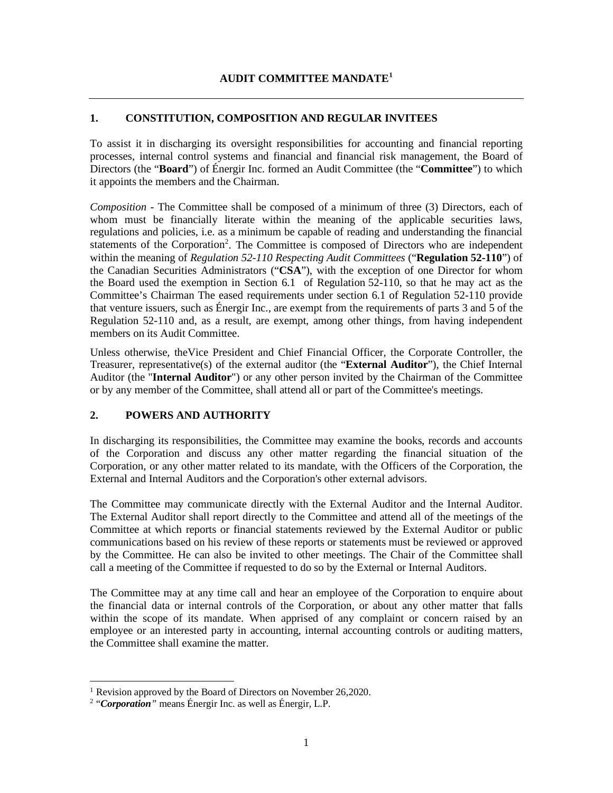# **1. CONSTITUTION, COMPOSITION AND REGULAR INVITEES**

To assist it in discharging its oversight responsibilities for accounting and financial reporting processes, internal control systems and financial and financial risk management, the Board of Directors (the "**Board**") of Énergir Inc. formed an Audit Committee (the "**Committee**") to which it appoints the members and the Chairman.

*Composition* - The Committee shall be composed of a minimum of three (3) Directors, each of whom must be financially literate within the meaning of the applicable securities laws, regulations and policies, i.e. as a minimum be capable of reading and understanding the financial statements of the Corporation<sup>[2](#page-0-1)</sup>. The Committee is composed of Directors who are independent within the meaning of *Regulation 52-110 Respecting Audit Committees* ("**Regulation 52-110**") of the Canadian Securities Administrators ("**CSA**"), with the exception of one Director for whom the Board used the exemption in Section 6.1 of Regulation 52-110, so that he may act as the Committee's Chairman The eased requirements under section 6.1 of Regulation 52-110 provide that venture issuers, such as Énergir Inc., are exempt from the requirements of parts 3 and 5 of the Regulation 52-110 and, as a result, are exempt, among other things, from having independent members on its Audit Committee.

Unless otherwise, theVice President and Chief Financial Officer, the Corporate Controller, the Treasurer, representative(s) of the external auditor (the "**External Auditor**"), the Chief Internal Auditor (the "**Internal Auditor**") or any other person invited by the Chairman of the Committee or by any member of the Committee, shall attend all or part of the Committee's meetings.

# **2. POWERS AND AUTHORITY**

In discharging its responsibilities, the Committee may examine the books, records and accounts of the Corporation and discuss any other matter regarding the financial situation of the Corporation, or any other matter related to its mandate, with the Officers of the Corporation, the External and Internal Auditors and the Corporation's other external advisors.

The Committee may communicate directly with the External Auditor and the Internal Auditor. The External Auditor shall report directly to the Committee and attend all of the meetings of the Committee at which reports or financial statements reviewed by the External Auditor or public communications based on his review of these reports or statements must be reviewed or approved by the Committee. He can also be invited to other meetings. The Chair of the Committee shall call a meeting of the Committee if requested to do so by the External or Internal Auditors.

The Committee may at any time call and hear an employee of the Corporation to enquire about the financial data or internal controls of the Corporation, or about any other matter that falls within the scope of its mandate. When apprised of any complaint or concern raised by an employee or an interested party in accounting, internal accounting controls or auditing matters, the Committee shall examine the matter.

<span id="page-0-0"></span><sup>&</sup>lt;sup>1</sup> Revision approved by the Board of Directors on November 26,2020.

<span id="page-0-1"></span><sup>2</sup> "*Corporation"* means Énergir Inc. as well as Énergir, L.P.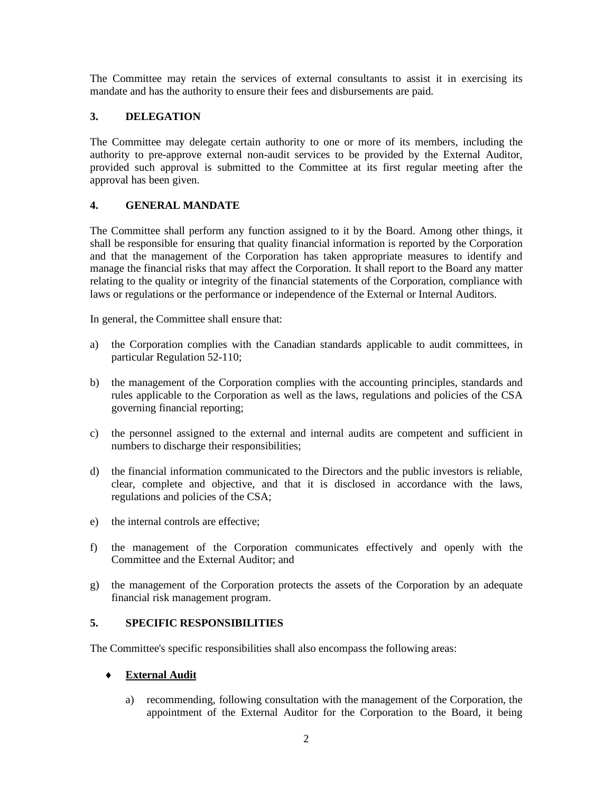The Committee may retain the services of external consultants to assist it in exercising its mandate and has the authority to ensure their fees and disbursements are paid.

# **3. DELEGATION**

The Committee may delegate certain authority to one or more of its members, including the authority to pre-approve external non-audit services to be provided by the External Auditor, provided such approval is submitted to the Committee at its first regular meeting after the approval has been given.

# **4. GENERAL MANDATE**

The Committee shall perform any function assigned to it by the Board. Among other things, it shall be responsible for ensuring that quality financial information is reported by the Corporation and that the management of the Corporation has taken appropriate measures to identify and manage the financial risks that may affect the Corporation. It shall report to the Board any matter relating to the quality or integrity of the financial statements of the Corporation, compliance with laws or regulations or the performance or independence of the External or Internal Auditors.

In general, the Committee shall ensure that:

- a) the Corporation complies with the Canadian standards applicable to audit committees, in particular Regulation 52-110;
- b) the management of the Corporation complies with the accounting principles, standards and rules applicable to the Corporation as well as the laws, regulations and policies of the CSA governing financial reporting;
- c) the personnel assigned to the external and internal audits are competent and sufficient in numbers to discharge their responsibilities;
- d) the financial information communicated to the Directors and the public investors is reliable, clear, complete and objective, and that it is disclosed in accordance with the laws, regulations and policies of the CSA;
- e) the internal controls are effective;
- f) the management of the Corporation communicates effectively and openly with the Committee and the External Auditor; and
- g) the management of the Corporation protects the assets of the Corporation by an adequate financial risk management program.

# **5. SPECIFIC RESPONSIBILITIES**

The Committee's specific responsibilities shall also encompass the following areas:

## **External Audit**

a) recommending, following consultation with the management of the Corporation, the appointment of the External Auditor for the Corporation to the Board, it being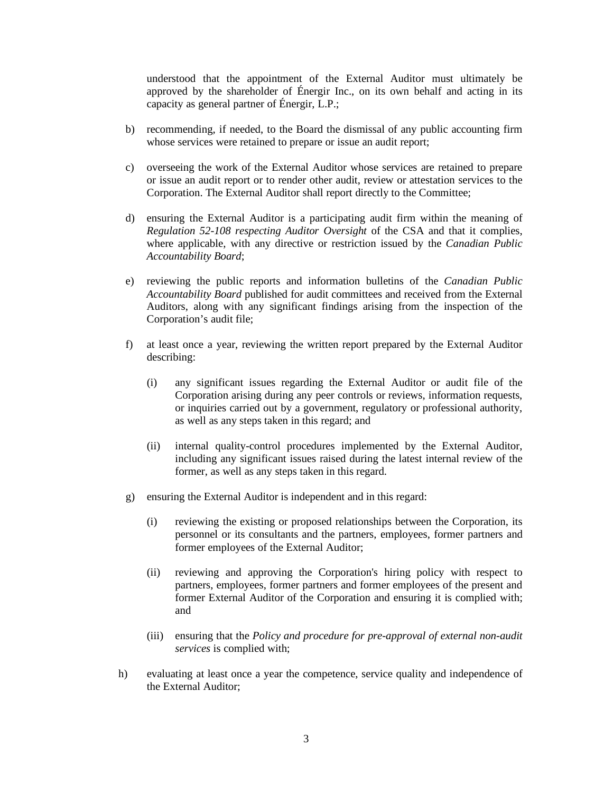understood that the appointment of the External Auditor must ultimately be approved by the shareholder of Énergir Inc., on its own behalf and acting in its capacity as general partner of Énergir, L.P.;

- b) recommending, if needed, to the Board the dismissal of any public accounting firm whose services were retained to prepare or issue an audit report;
- c) overseeing the work of the External Auditor whose services are retained to prepare or issue an audit report or to render other audit, review or attestation services to the Corporation. The External Auditor shall report directly to the Committee;
- d) ensuring the External Auditor is a participating audit firm within the meaning of *Regulation 52-108 respecting Auditor Oversight* of the CSA and that it complies, where applicable, with any directive or restriction issued by the *Canadian Public Accountability Board*;
- e) reviewing the public reports and information bulletins of the *Canadian Public Accountability Board* published for audit committees and received from the External Auditors, along with any significant findings arising from the inspection of the Corporation's audit file;
- f) at least once a year, reviewing the written report prepared by the External Auditor describing:
	- (i) any significant issues regarding the External Auditor or audit file of the Corporation arising during any peer controls or reviews, information requests, or inquiries carried out by a government, regulatory or professional authority, as well as any steps taken in this regard; and
	- (ii) internal quality-control procedures implemented by the External Auditor, including any significant issues raised during the latest internal review of the former, as well as any steps taken in this regard.
- g) ensuring the External Auditor is independent and in this regard:
	- (i) reviewing the existing or proposed relationships between the Corporation, its personnel or its consultants and the partners, employees, former partners and former employees of the External Auditor;
	- (ii) reviewing and approving the Corporation's hiring policy with respect to partners, employees, former partners and former employees of the present and former External Auditor of the Corporation and ensuring it is complied with; and
	- (iii) ensuring that the *Policy and procedure for pre-approval of external non-audit services* is complied with;
- h) evaluating at least once a year the competence, service quality and independence of the External Auditor;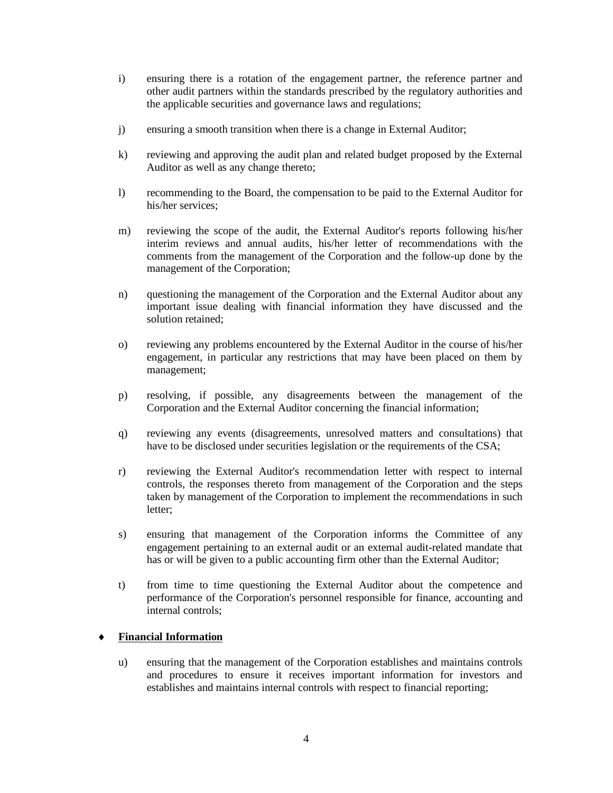- i) ensuring there is a rotation of the engagement partner, the reference partner and other audit partners within the standards prescribed by the regulatory authorities and the applicable securities and governance laws and regulations;
- j) ensuring a smooth transition when there is a change in External Auditor;
- k) reviewing and approving the audit plan and related budget proposed by the External Auditor as well as any change thereto;
- l) recommending to the Board, the compensation to be paid to the External Auditor for his/her services;
- m) reviewing the scope of the audit, the External Auditor's reports following his/her interim reviews and annual audits, his/her letter of recommendations with the comments from the management of the Corporation and the follow-up done by the management of the Corporation;
- n) questioning the management of the Corporation and the External Auditor about any important issue dealing with financial information they have discussed and the solution retained;
- o) reviewing any problems encountered by the External Auditor in the course of his/her engagement, in particular any restrictions that may have been placed on them by management;
- p) resolving, if possible, any disagreements between the management of the Corporation and the External Auditor concerning the financial information;
- q) reviewing any events (disagreements, unresolved matters and consultations) that have to be disclosed under securities legislation or the requirements of the CSA;
- r) reviewing the External Auditor's recommendation letter with respect to internal controls, the responses thereto from management of the Corporation and the steps taken by management of the Corporation to implement the recommendations in such letter;
- s) ensuring that management of the Corporation informs the Committee of any engagement pertaining to an external audit or an external audit-related mandate that has or will be given to a public accounting firm other than the External Auditor;
- t) from time to time questioning the External Auditor about the competence and performance of the Corporation's personnel responsible for finance, accounting and internal controls;

## **Financial Information**

u) ensuring that the management of the Corporation establishes and maintains controls and procedures to ensure it receives important information for investors and establishes and maintains internal controls with respect to financial reporting;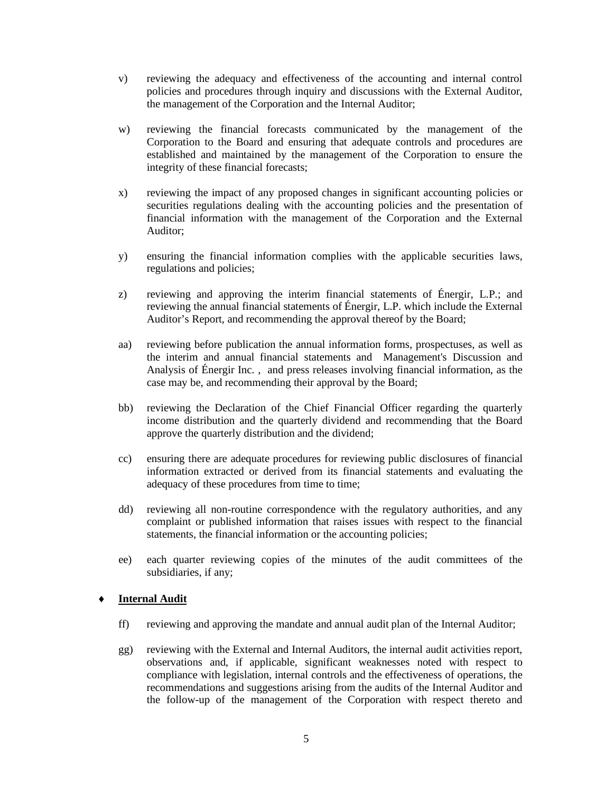- v) reviewing the adequacy and effectiveness of the accounting and internal control policies and procedures through inquiry and discussions with the External Auditor, the management of the Corporation and the Internal Auditor;
- w) reviewing the financial forecasts communicated by the management of the Corporation to the Board and ensuring that adequate controls and procedures are established and maintained by the management of the Corporation to ensure the integrity of these financial forecasts;
- x) reviewing the impact of any proposed changes in significant accounting policies or securities regulations dealing with the accounting policies and the presentation of financial information with the management of the Corporation and the External Auditor;
- y) ensuring the financial information complies with the applicable securities laws, regulations and policies;
- z) reviewing and approving the interim financial statements of Énergir, L.P.; and reviewing the annual financial statements of Énergir, L.P. which include the External Auditor's Report, and recommending the approval thereof by the Board;
- aa) reviewing before publication the annual information forms, prospectuses, as well as the interim and annual financial statements and Management's Discussion and Analysis of Énergir Inc. , and press releases involving financial information, as the case may be, and recommending their approval by the Board;
- bb) reviewing the Declaration of the Chief Financial Officer regarding the quarterly income distribution and the quarterly dividend and recommending that the Board approve the quarterly distribution and the dividend;
- cc) ensuring there are adequate procedures for reviewing public disclosures of financial information extracted or derived from its financial statements and evaluating the adequacy of these procedures from time to time;
- dd) reviewing all non-routine correspondence with the regulatory authorities, and any complaint or published information that raises issues with respect to the financial statements, the financial information or the accounting policies;
- ee) each quarter reviewing copies of the minutes of the audit committees of the subsidiaries, if any;

#### **Internal Audit**

- ff) reviewing and approving the mandate and annual audit plan of the Internal Auditor;
- gg) reviewing with the External and Internal Auditors, the internal audit activities report, observations and, if applicable, significant weaknesses noted with respect to compliance with legislation, internal controls and the effectiveness of operations, the recommendations and suggestions arising from the audits of the Internal Auditor and the follow-up of the management of the Corporation with respect thereto and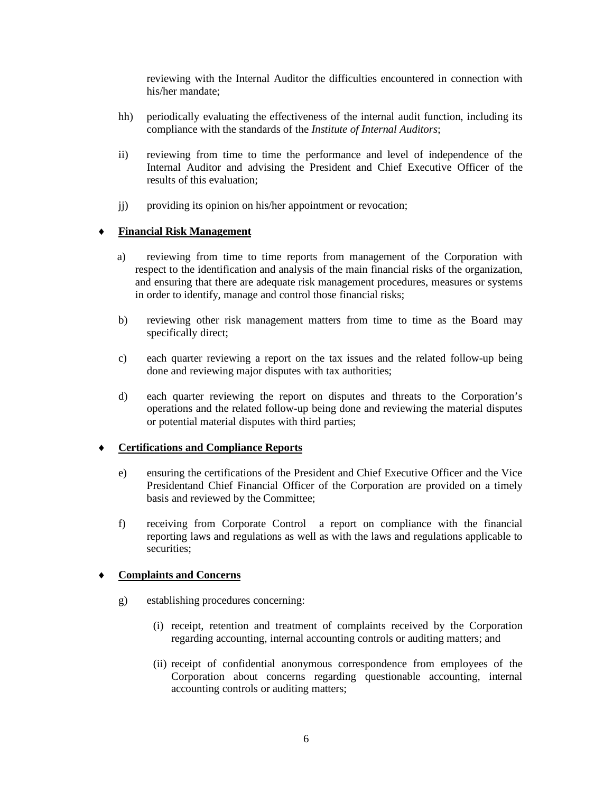reviewing with the Internal Auditor the difficulties encountered in connection with his/her mandate;

- hh) periodically evaluating the effectiveness of the internal audit function, including its compliance with the standards of the *Institute of Internal Auditors*;
- ii) reviewing from time to time the performance and level of independence of the Internal Auditor and advising the President and Chief Executive Officer of the results of this evaluation;
- j) providing its opinion on his/her appointment or revocation;

## **Financial Risk Management**

- a) reviewing from time to time reports from management of the Corporation with respect to the identification and analysis of the main financial risks of the organization, and ensuring that there are adequate risk management procedures, measures or systems in order to identify, manage and control those financial risks;
- b) reviewing other risk management matters from time to time as the Board may specifically direct;
- c) each quarter reviewing a report on the tax issues and the related follow-up being done and reviewing major disputes with tax authorities;
- d) each quarter reviewing the report on disputes and threats to the Corporation's operations and the related follow-up being done and reviewing the material disputes or potential material disputes with third parties;

#### ♦ **Certifications and Compliance Reports**

- e) ensuring the certifications of the President and Chief Executive Officer and the Vice Presidentand Chief Financial Officer of the Corporation are provided on a timely basis and reviewed by the Committee;
- f) receiving from Corporate Control a report on compliance with the financial reporting laws and regulations as well as with the laws and regulations applicable to securities;

## **Complaints and Concerns**

- g) establishing procedures concerning:
	- (i) receipt, retention and treatment of complaints received by the Corporation regarding accounting, internal accounting controls or auditing matters; and
	- (ii) receipt of confidential anonymous correspondence from employees of the Corporation about concerns regarding questionable accounting, internal accounting controls or auditing matters;